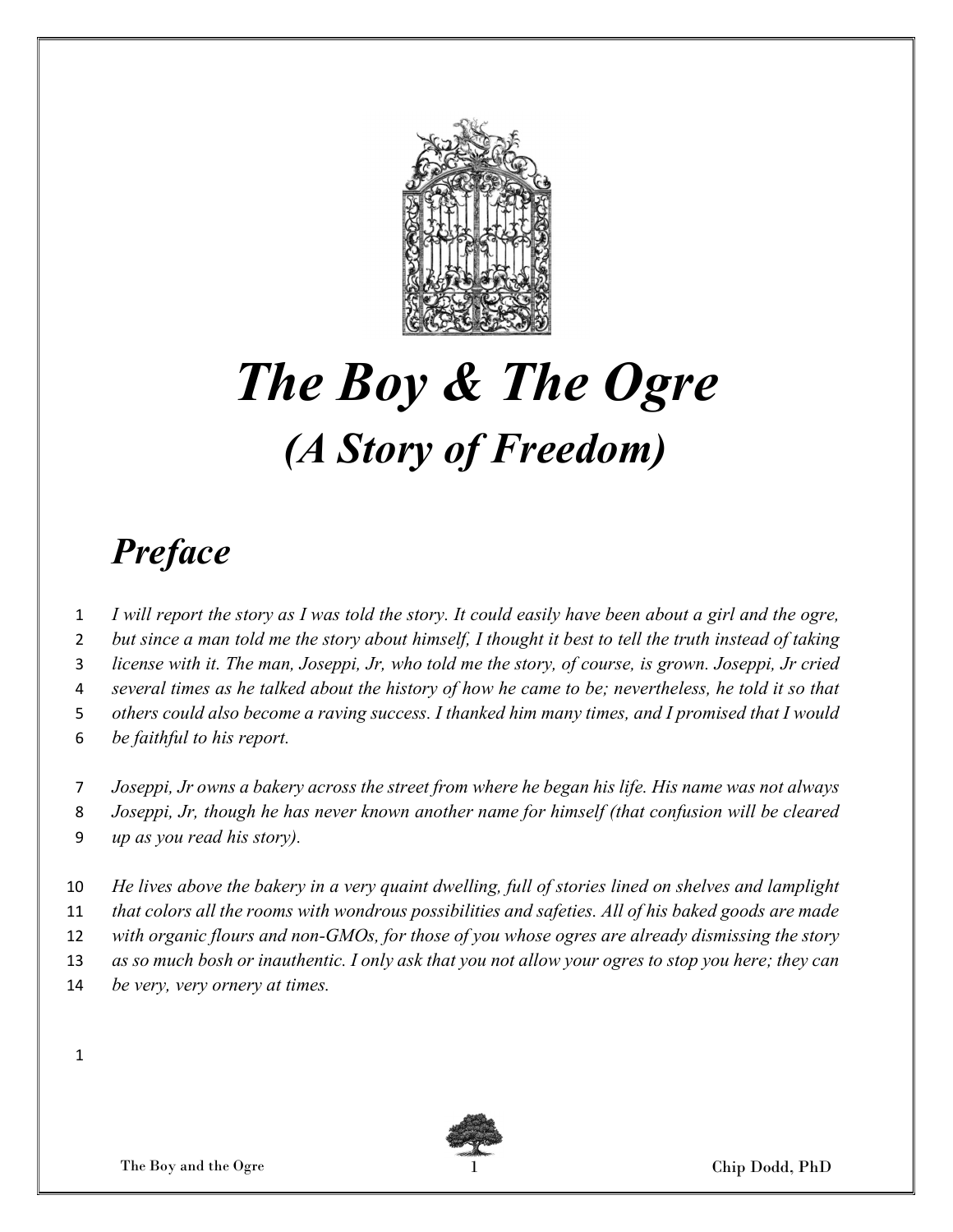

# The Boy & The Ogre (A Story of Freedom)

#### Preface

- I will report the story as I was told the story. It could easily have been about a girl and the ogre,
- 2 but since a man told me the story about himself, I thought it best to tell the truth instead of taking
- license with it. The man, Joseppi, Jr, who told me the story, of course, is grown. Joseppi, Jr cried
- several times as he talked about the history of how he came to be; nevertheless, he told it so that
- others could also become a raving success. I thanked him many times, and I promised that I would
- be faithful to his report.
- Joseppi, Jr owns a bakery across the street from where he began his life. His name was not always
- Joseppi, Jr, though he has never known another name for himself (that confusion will be cleared
- up as you read his story).
- He lives above the bakery in a very quaint dwelling, full of stories lined on shelves and lamplight
- 11 that colors all the rooms with wondrous possibilities and safeties. All of his baked goods are made
- with organic flours and non-GMOs, for those of you whose ogres are already dismissing the story
- as so much bosh or inauthentic. I only ask that you not allow your ogres to stop you here; they can
- 14 be very, very ornery at times.

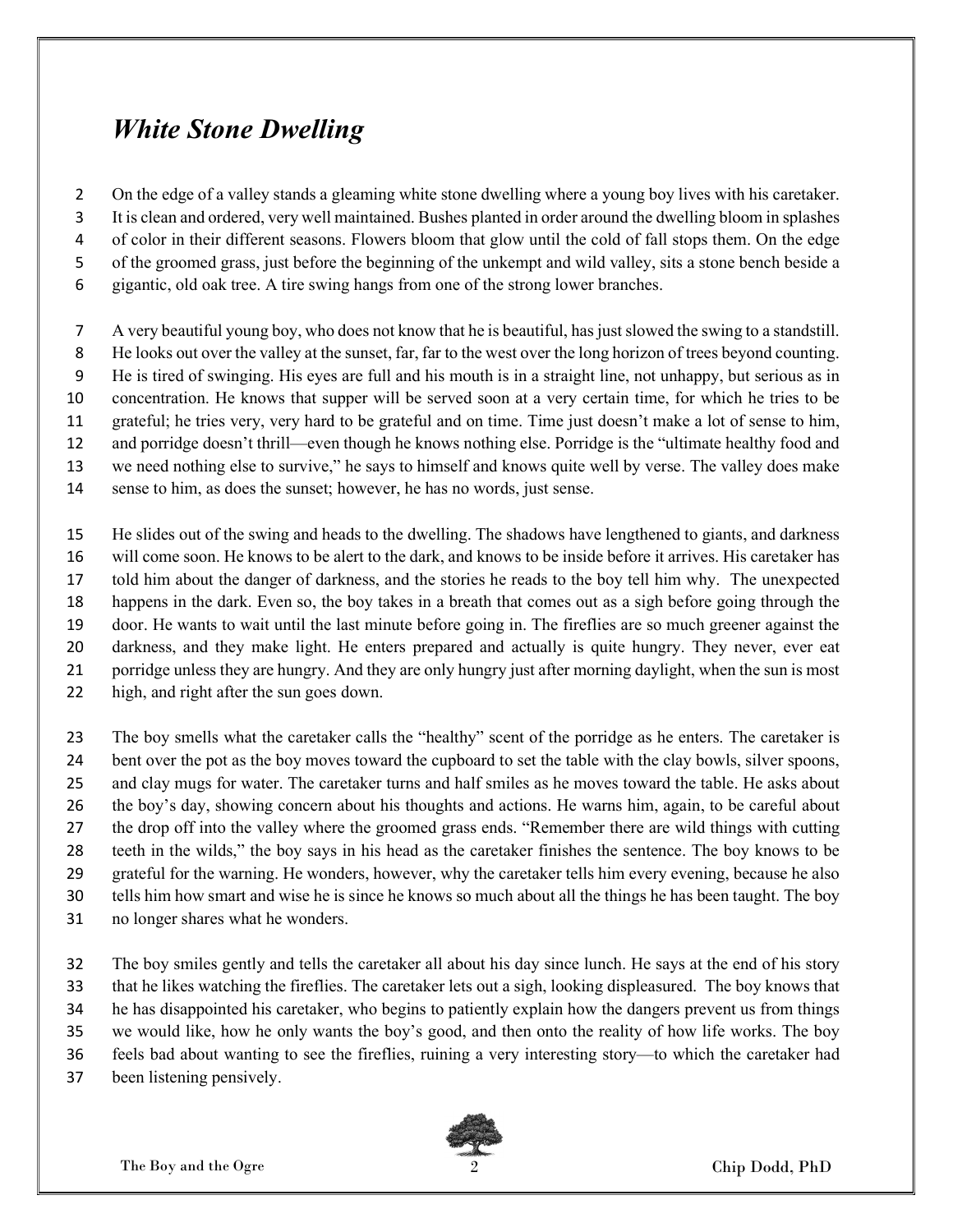#### White Stone Dwelling

On the edge of a valley stands a gleaming white stone dwelling where a young boy lives with his caretaker.

It is clean and ordered, very well maintained. Bushes planted in order around the dwelling bloom in splashes

of color in their different seasons. Flowers bloom that glow until the cold of fall stops them. On the edge

of the groomed grass, just before the beginning of the unkempt and wild valley, sits a stone bench beside a

gigantic, old oak tree. A tire swing hangs from one of the strong lower branches.

A very beautiful young boy, who does not know that he is beautiful, has just slowed the swing to a standstill.

He looks out over the valley at the sunset, far, far to the west over the long horizon of trees beyond counting.

He is tired of swinging. His eyes are full and his mouth is in a straight line, not unhappy, but serious as in

concentration. He knows that supper will be served soon at a very certain time, for which he tries to be

grateful; he tries very, very hard to be grateful and on time. Time just doesn't make a lot of sense to him,

and porridge doesn't thrill—even though he knows nothing else. Porridge is the "ultimate healthy food and

we need nothing else to survive," he says to himself and knows quite well by verse. The valley does make

sense to him, as does the sunset; however, he has no words, just sense.

He slides out of the swing and heads to the dwelling. The shadows have lengthened to giants, and darkness

will come soon. He knows to be alert to the dark, and knows to be inside before it arrives. His caretaker has

told him about the danger of darkness, and the stories he reads to the boy tell him why. The unexpected

happens in the dark. Even so, the boy takes in a breath that comes out as a sigh before going through the

door. He wants to wait until the last minute before going in. The fireflies are so much greener against the

darkness, and they make light. He enters prepared and actually is quite hungry. They never, ever eat

porridge unless they are hungry. And they are only hungry just after morning daylight, when the sun is most

high, and right after the sun goes down.

The boy smells what the caretaker calls the "healthy" scent of the porridge as he enters. The caretaker is bent over the pot as the boy moves toward the cupboard to set the table with the clay bowls, silver spoons, and clay mugs for water. The caretaker turns and half smiles as he moves toward the table. He asks about the boy's day, showing concern about his thoughts and actions. He warns him, again, to be careful about the drop off into the valley where the groomed grass ends. "Remember there are wild things with cutting teeth in the wilds," the boy says in his head as the caretaker finishes the sentence. The boy knows to be grateful for the warning. He wonders, however, why the caretaker tells him every evening, because he also tells him how smart and wise he is since he knows so much about all the things he has been taught. The boy

no longer shares what he wonders.

The boy smiles gently and tells the caretaker all about his day since lunch. He says at the end of his story that he likes watching the fireflies. The caretaker lets out a sigh, looking displeasured. The boy knows that he has disappointed his caretaker, who begins to patiently explain how the dangers prevent us from things we would like, how he only wants the boy's good, and then onto the reality of how life works. The boy feels bad about wanting to see the fireflies, ruining a very interesting story—to which the caretaker had

been listening pensively.

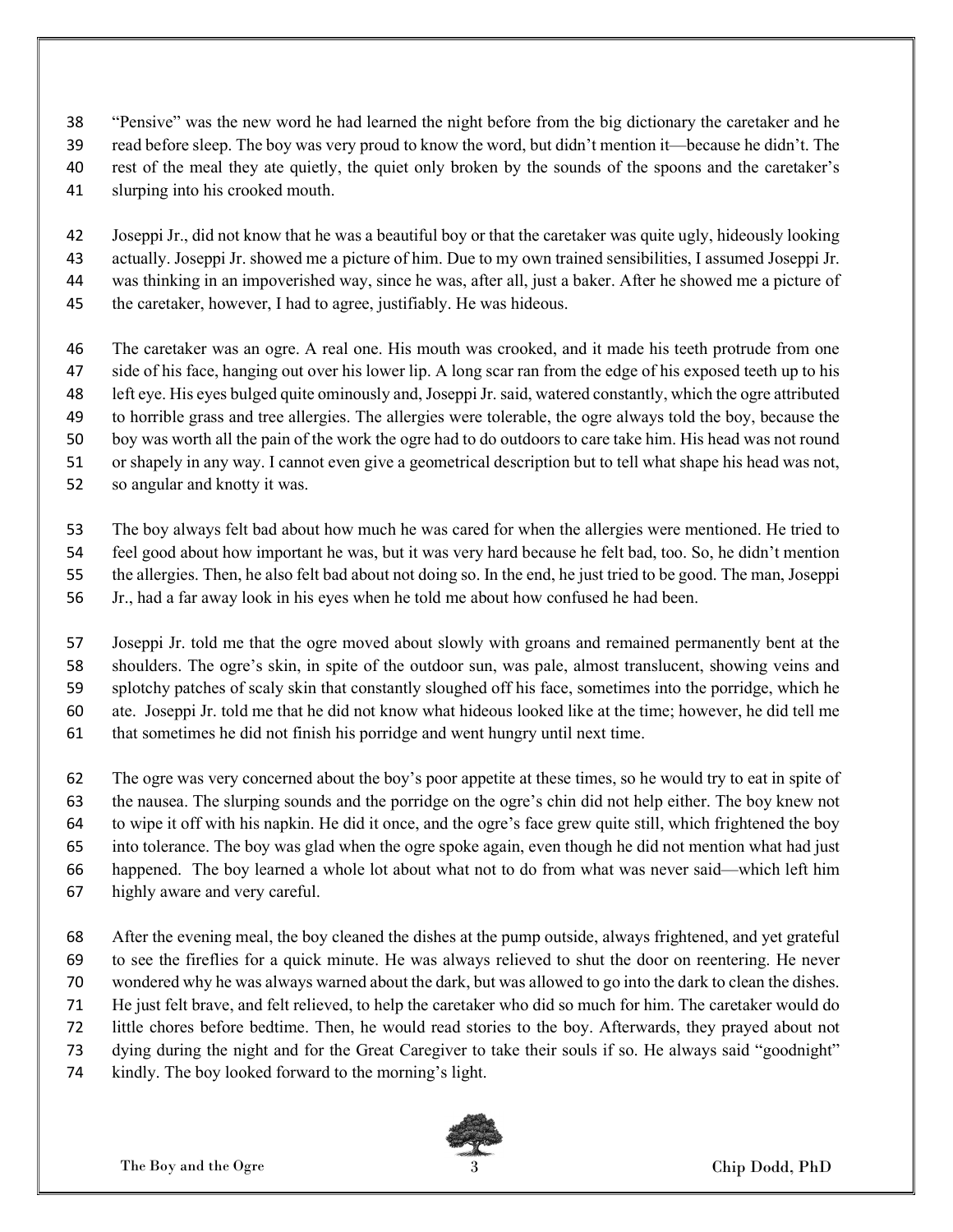- "Pensive" was the new word he had learned the night before from the big dictionary the caretaker and he
- read before sleep. The boy was very proud to know the word, but didn't mention it—because he didn't. The
- rest of the meal they ate quietly, the quiet only broken by the sounds of the spoons and the caretaker's
- slurping into his crooked mouth.
- Joseppi Jr., did not know that he was a beautiful boy or that the caretaker was quite ugly, hideously looking actually. Joseppi Jr. showed me a picture of him. Due to my own trained sensibilities, I assumed Joseppi Jr. was thinking in an impoverished way, since he was, after all, just a baker. After he showed me a picture of the caretaker, however, I had to agree, justifiably. He was hideous.
- The caretaker was an ogre. A real one. His mouth was crooked, and it made his teeth protrude from one side of his face, hanging out over his lower lip. A long scar ran from the edge of his exposed teeth up to his left eye. His eyes bulged quite ominously and, Joseppi Jr. said, watered constantly, which the ogre attributed to horrible grass and tree allergies. The allergies were tolerable, the ogre always told the boy, because the boy was worth all the pain of the work the ogre had to do outdoors to care take him. His head was not round or shapely in any way. I cannot even give a geometrical description but to tell what shape his head was not,
- so angular and knotty it was.
	- The boy always felt bad about how much he was cared for when the allergies were mentioned. He tried to feel good about how important he was, but it was very hard because he felt bad, too. So, he didn't mention the allergies. Then, he also felt bad about not doing so. In the end, he just tried to be good. The man, Joseppi
	- Jr., had a far away look in his eyes when he told me about how confused he had been.
	- Joseppi Jr. told me that the ogre moved about slowly with groans and remained permanently bent at the shoulders. The ogre's skin, in spite of the outdoor sun, was pale, almost translucent, showing veins and splotchy patches of scaly skin that constantly sloughed off his face, sometimes into the porridge, which he ate. Joseppi Jr. told me that he did not know what hideous looked like at the time; however, he did tell me that sometimes he did not finish his porridge and went hungry until next time.
	- The ogre was very concerned about the boy's poor appetite at these times, so he would try to eat in spite of the nausea. The slurping sounds and the porridge on the ogre's chin did not help either. The boy knew not to wipe it off with his napkin. He did it once, and the ogre's face grew quite still, which frightened the boy into tolerance. The boy was glad when the ogre spoke again, even though he did not mention what had just happened. The boy learned a whole lot about what not to do from what was never said—which left him
	- highly aware and very careful.
	- After the evening meal, the boy cleaned the dishes at the pump outside, always frightened, and yet grateful to see the fireflies for a quick minute. He was always relieved to shut the door on reentering. He never wondered why he was always warned about the dark, but was allowed to go into the dark to clean the dishes. He just felt brave, and felt relieved, to help the caretaker who did so much for him. The caretaker would do little chores before bedtime. Then, he would read stories to the boy. Afterwards, they prayed about not
	- dying during the night and for the Great Caregiver to take their souls if so. He always said "goodnight"
	- kindly. The boy looked forward to the morning's light.

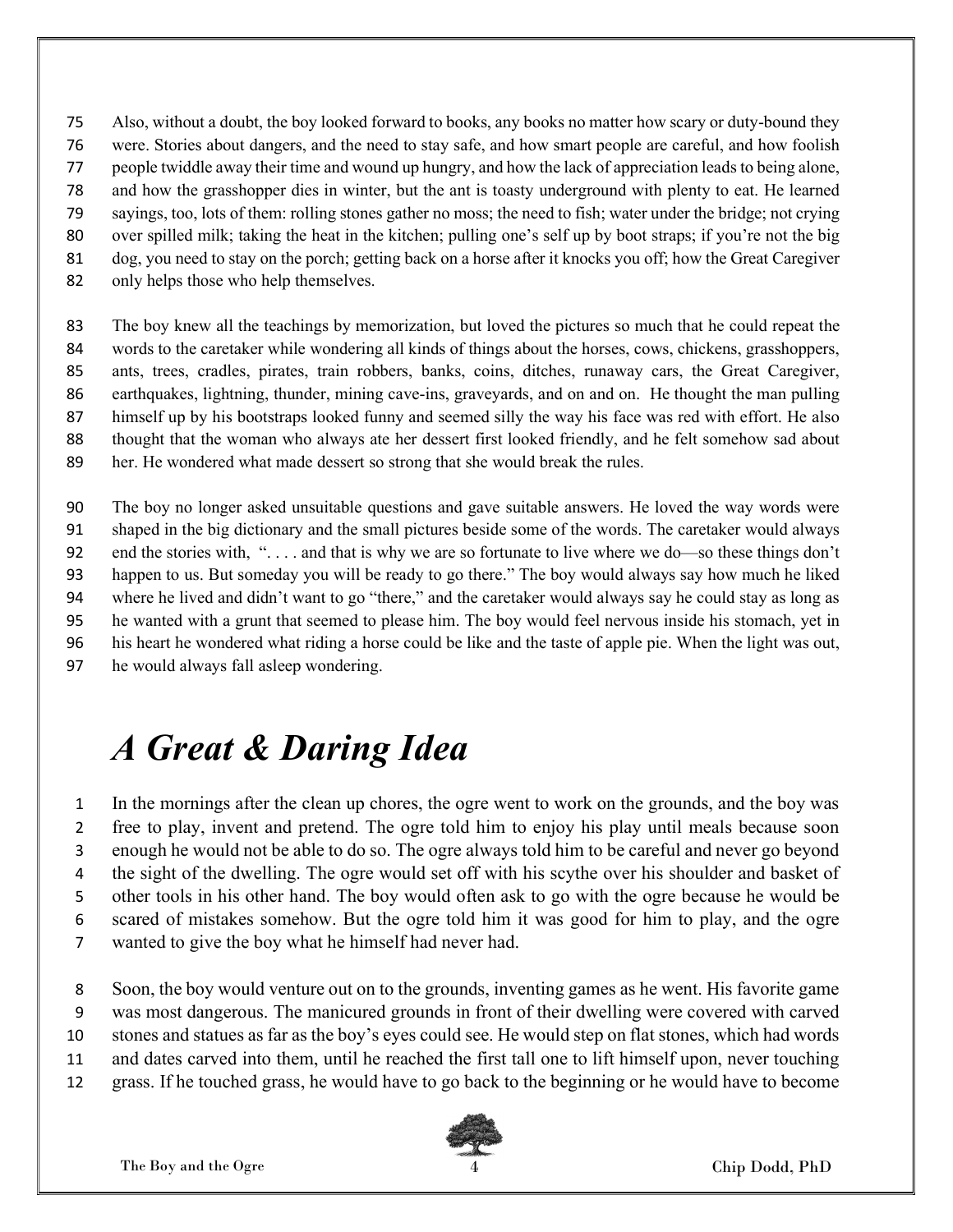Also, without a doubt, the boy looked forward to books, any books no matter how scary or duty-bound they

- were. Stories about dangers, and the need to stay safe, and how smart people are careful, and how foolish
- people twiddle away their time and wound up hungry, and how the lack of appreciation leads to being alone,
- and how the grasshopper dies in winter, but the ant is toasty underground with plenty to eat. He learned
- sayings, too, lots of them: rolling stones gather no moss; the need to fish; water under the bridge; not crying
- over spilled milk; taking the heat in the kitchen; pulling one's self up by boot straps; if you're not the big
- dog, you need to stay on the porch; getting back on a horse after it knocks you off; how the Great Caregiver
- only helps those who help themselves.

The boy knew all the teachings by memorization, but loved the pictures so much that he could repeat the words to the caretaker while wondering all kinds of things about the horses, cows, chickens, grasshoppers, ants, trees, cradles, pirates, train robbers, banks, coins, ditches, runaway cars, the Great Caregiver, earthquakes, lightning, thunder, mining cave-ins, graveyards, and on and on. He thought the man pulling himself up by his bootstraps looked funny and seemed silly the way his face was red with effort. He also thought that the woman who always ate her dessert first looked friendly, and he felt somehow sad about her. He wondered what made dessert so strong that she would break the rules.

The boy no longer asked unsuitable questions and gave suitable answers. He loved the way words were shaped in the big dictionary and the small pictures beside some of the words. The caretaker would always 92 end the stories with, "... and that is why we are so fortunate to live where we do—so these things don't happen to us. But someday you will be ready to go there." The boy would always say how much he liked where he lived and didn't want to go "there," and the caretaker would always say he could stay as long as he wanted with a grunt that seemed to please him. The boy would feel nervous inside his stomach, yet in his heart he wondered what riding a horse could be like and the taste of apple pie. When the light was out, he would always fall asleep wondering.

## A Great & Daring Idea

In the mornings after the clean up chores, the ogre went to work on the grounds, and the boy was free to play, invent and pretend. The ogre told him to enjoy his play until meals because soon enough he would not be able to do so. The ogre always told him to be careful and never go beyond 4 the sight of the dwelling. The ogre would set off with his scythe over his shoulder and basket of other tools in his other hand. The boy would often ask to go with the ogre because he would be scared of mistakes somehow. But the ogre told him it was good for him to play, and the ogre wanted to give the boy what he himself had never had.

- Soon, the boy would venture out on to the grounds, inventing games as he went. His favorite game
- was most dangerous. The manicured grounds in front of their dwelling were covered with carved
- stones and statues as far as the boy's eyes could see. He would step on flat stones, which had words
- and dates carved into them, until he reached the first tall one to lift himself upon, never touching
- grass. If he touched grass, he would have to go back to the beginning or he would have to become

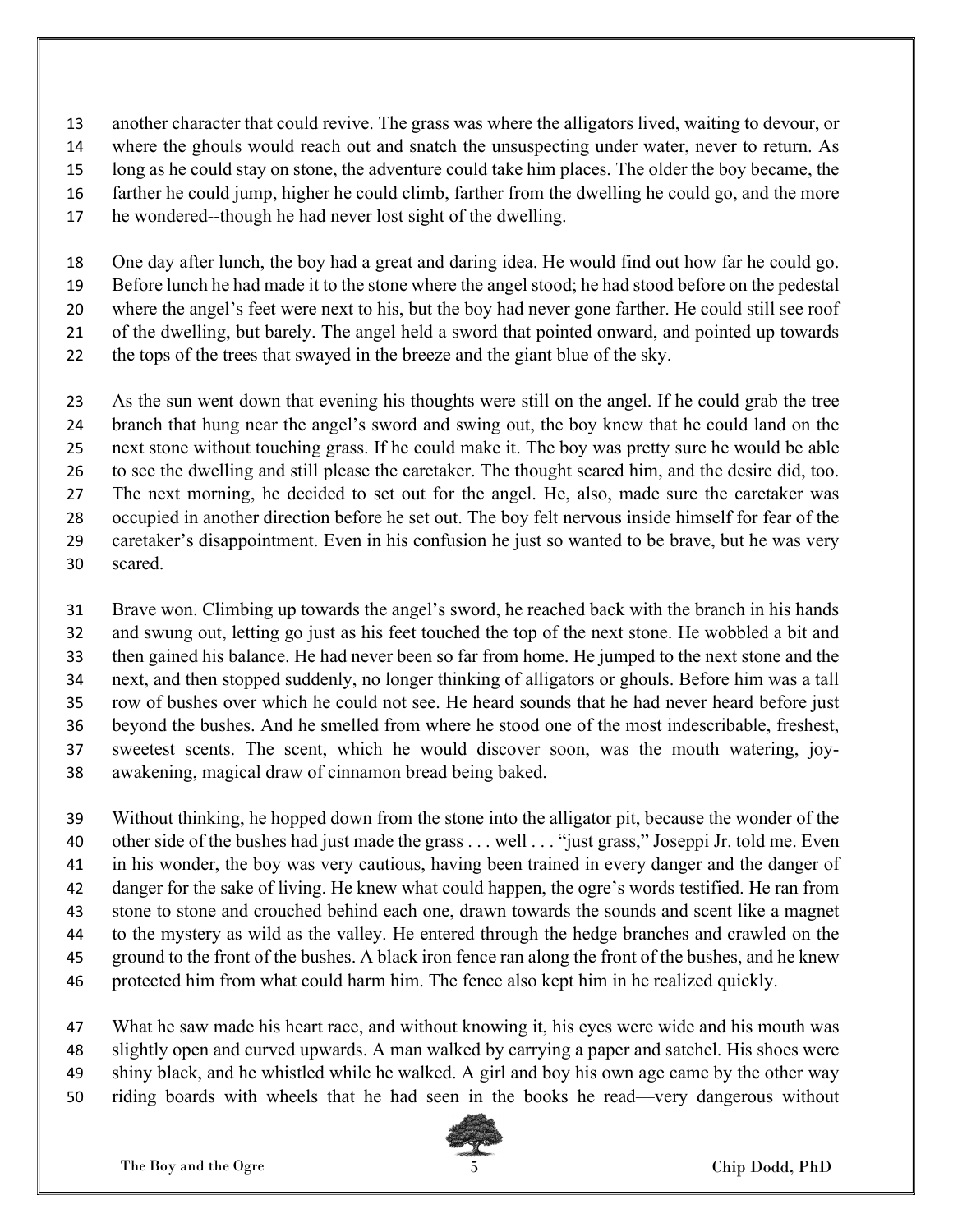another character that could revive. The grass was where the alligators lived, waiting to devour, or where the ghouls would reach out and snatch the unsuspecting under water, never to return. As long as he could stay on stone, the adventure could take him places. The older the boy became, the farther he could jump, higher he could climb, farther from the dwelling he could go, and the more

he wondered--though he had never lost sight of the dwelling.

One day after lunch, the boy had a great and daring idea. He would find out how far he could go. Before lunch he had made it to the stone where the angel stood; he had stood before on the pedestal where the angel's feet were next to his, but the boy had never gone farther. He could still see roof

of the dwelling, but barely. The angel held a sword that pointed onward, and pointed up towards

the tops of the trees that swayed in the breeze and the giant blue of the sky.

As the sun went down that evening his thoughts were still on the angel. If he could grab the tree branch that hung near the angel's sword and swing out, the boy knew that he could land on the next stone without touching grass. If he could make it. The boy was pretty sure he would be able to see the dwelling and still please the caretaker. The thought scared him, and the desire did, too. The next morning, he decided to set out for the angel. He, also, made sure the caretaker was occupied in another direction before he set out. The boy felt nervous inside himself for fear of the caretaker's disappointment. Even in his confusion he just so wanted to be brave, but he was very scared.

Brave won. Climbing up towards the angel's sword, he reached back with the branch in his hands and swung out, letting go just as his feet touched the top of the next stone. He wobbled a bit and then gained his balance. He had never been so far from home. He jumped to the next stone and the next, and then stopped suddenly, no longer thinking of alligators or ghouls. Before him was a tall row of bushes over which he could not see. He heard sounds that he had never heard before just beyond the bushes. And he smelled from where he stood one of the most indescribable, freshest, sweetest scents. The scent, which he would discover soon, was the mouth watering, joy-awakening, magical draw of cinnamon bread being baked.

Without thinking, he hopped down from the stone into the alligator pit, because the wonder of the other side of the bushes had just made the grass . . . well . . . "just grass," Joseppi Jr. told me. Even in his wonder, the boy was very cautious, having been trained in every danger and the danger of danger for the sake of living. He knew what could happen, the ogre's words testified. He ran from stone to stone and crouched behind each one, drawn towards the sounds and scent like a magnet to the mystery as wild as the valley. He entered through the hedge branches and crawled on the ground to the front of the bushes. A black iron fence ran along the front of the bushes, and he knew protected him from what could harm him. The fence also kept him in he realized quickly.

What he saw made his heart race, and without knowing it, his eyes were wide and his mouth was slightly open and curved upwards. A man walked by carrying a paper and satchel. His shoes were shiny black, and he whistled while he walked. A girl and boy his own age came by the other way

riding boards with wheels that he had seen in the books he read—very dangerous without

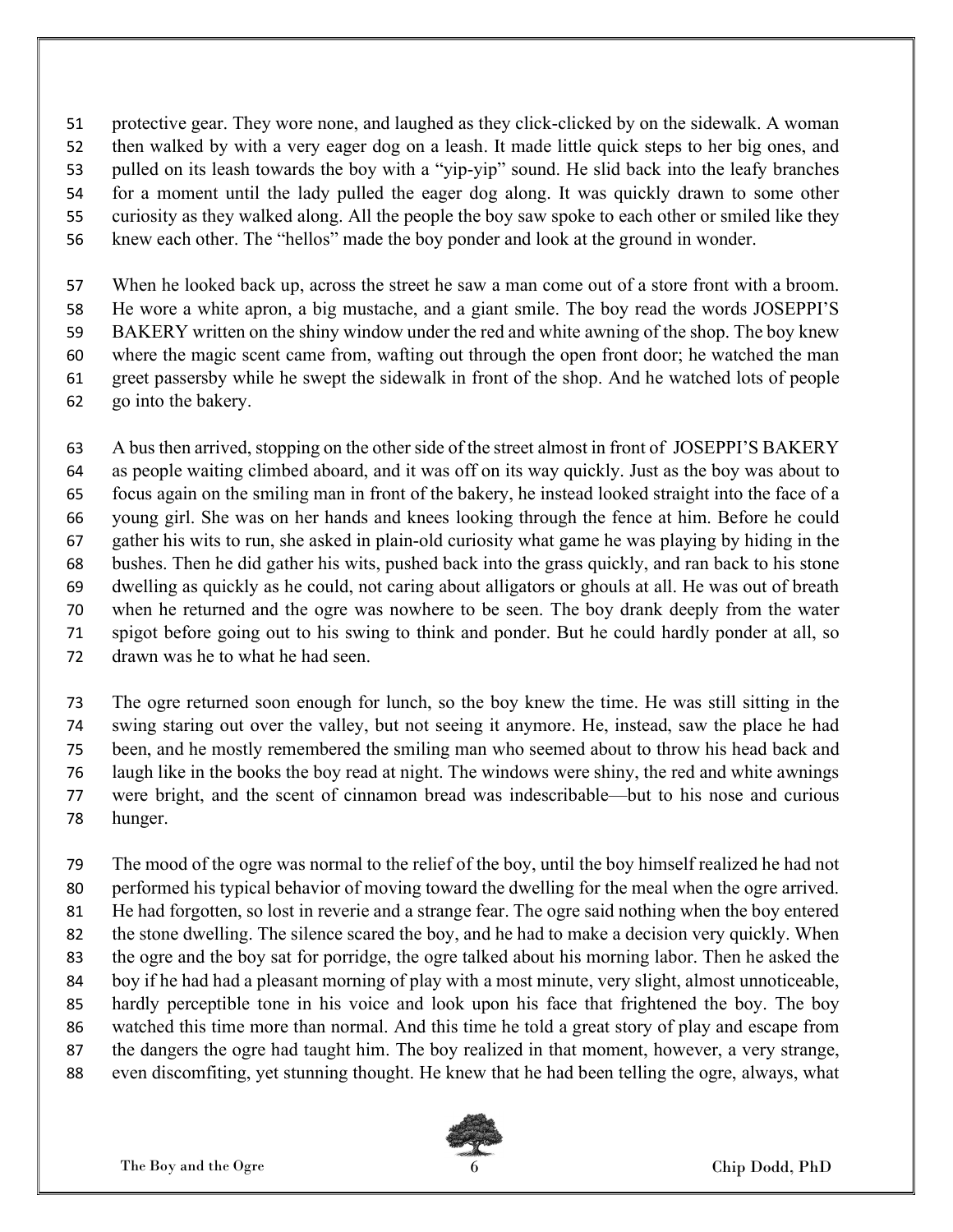protective gear. They wore none, and laughed as they click-clicked by on the sidewalk. A woman then walked by with a very eager dog on a leash. It made little quick steps to her big ones, and pulled on its leash towards the boy with a "yip-yip" sound. He slid back into the leafy branches for a moment until the lady pulled the eager dog along. It was quickly drawn to some other curiosity as they walked along. All the people the boy saw spoke to each other or smiled like they knew each other. The "hellos" made the boy ponder and look at the ground in wonder.

When he looked back up, across the street he saw a man come out of a store front with a broom. He wore a white apron, a big mustache, and a giant smile. The boy read the words JOSEPPI'S BAKERY written on the shiny window under the red and white awning of the shop. The boy knew where the magic scent came from, wafting out through the open front door; he watched the man greet passersby while he swept the sidewalk in front of the shop. And he watched lots of people go into the bakery.

A bus then arrived, stopping on the other side of the street almost in front of JOSEPPI'S BAKERY as people waiting climbed aboard, and it was off on its way quickly. Just as the boy was about to focus again on the smiling man in front of the bakery, he instead looked straight into the face of a young girl. She was on her hands and knees looking through the fence at him. Before he could gather his wits to run, she asked in plain-old curiosity what game he was playing by hiding in the bushes. Then he did gather his wits, pushed back into the grass quickly, and ran back to his stone dwelling as quickly as he could, not caring about alligators or ghouls at all. He was out of breath when he returned and the ogre was nowhere to be seen. The boy drank deeply from the water spigot before going out to his swing to think and ponder. But he could hardly ponder at all, so drawn was he to what he had seen.

The ogre returned soon enough for lunch, so the boy knew the time. He was still sitting in the swing staring out over the valley, but not seeing it anymore. He, instead, saw the place he had been, and he mostly remembered the smiling man who seemed about to throw his head back and laugh like in the books the boy read at night. The windows were shiny, the red and white awnings were bright, and the scent of cinnamon bread was indescribable—but to his nose and curious hunger.

The mood of the ogre was normal to the relief of the boy, until the boy himself realized he had not performed his typical behavior of moving toward the dwelling for the meal when the ogre arrived. He had forgotten, so lost in reverie and a strange fear. The ogre said nothing when the boy entered the stone dwelling. The silence scared the boy, and he had to make a decision very quickly. When the ogre and the boy sat for porridge, the ogre talked about his morning labor. Then he asked the boy if he had had a pleasant morning of play with a most minute, very slight, almost unnoticeable, hardly perceptible tone in his voice and look upon his face that frightened the boy. The boy watched this time more than normal. And this time he told a great story of play and escape from the dangers the ogre had taught him. The boy realized in that moment, however, a very strange, even discomfiting, yet stunning thought. He knew that he had been telling the ogre, always, what

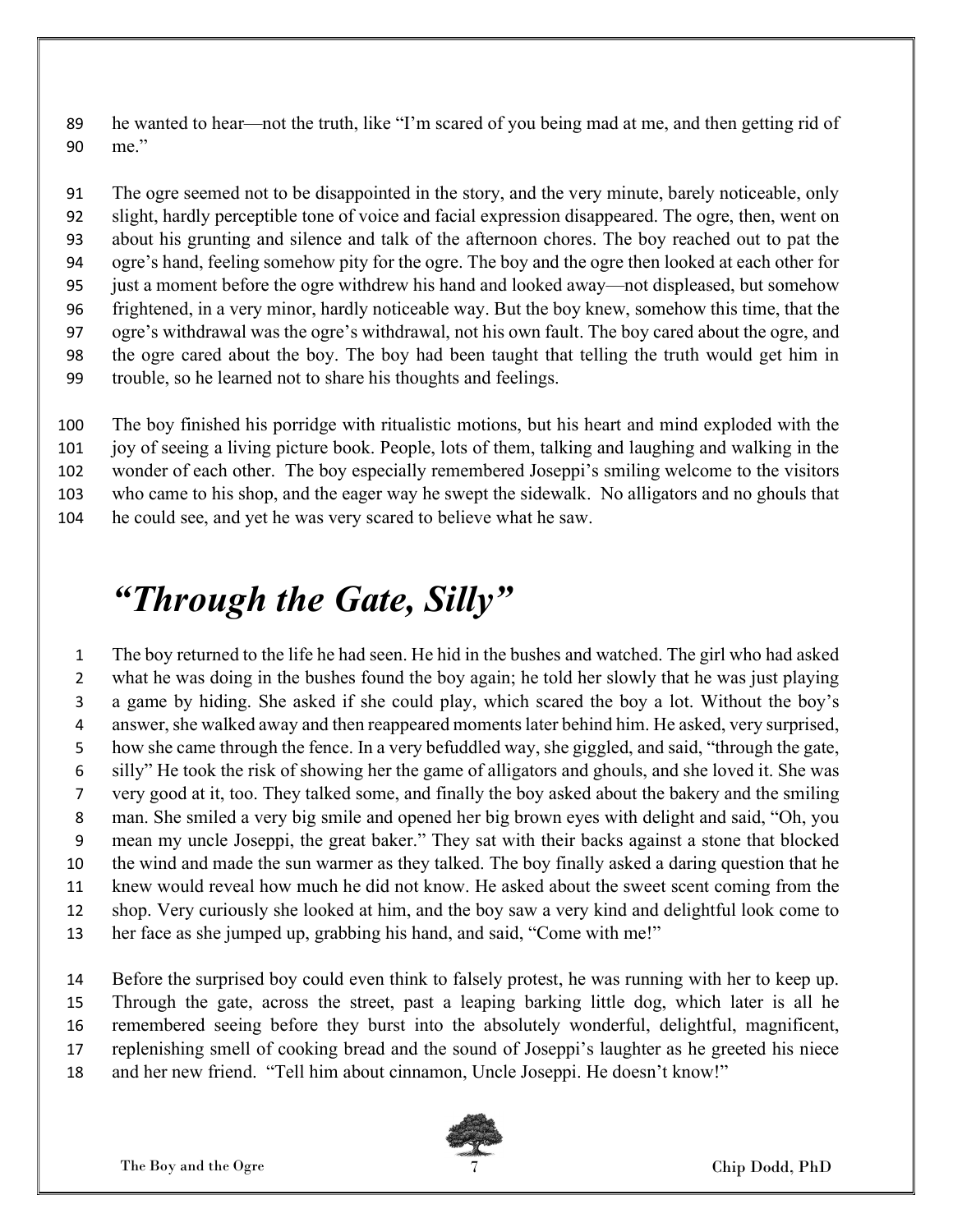he wanted to hear—not the truth, like "I'm scared of you being mad at me, and then getting rid of me."

The ogre seemed not to be disappointed in the story, and the very minute, barely noticeable, only slight, hardly perceptible tone of voice and facial expression disappeared. The ogre, then, went on about his grunting and silence and talk of the afternoon chores. The boy reached out to pat the ogre's hand, feeling somehow pity for the ogre. The boy and the ogre then looked at each other for just a moment before the ogre withdrew his hand and looked away—not displeased, but somehow frightened, in a very minor, hardly noticeable way. But the boy knew, somehow this time, that the ogre's withdrawal was the ogre's withdrawal, not his own fault. The boy cared about the ogre, and the ogre cared about the boy. The boy had been taught that telling the truth would get him in trouble, so he learned not to share his thoughts and feelings.

The boy finished his porridge with ritualistic motions, but his heart and mind exploded with the joy of seeing a living picture book. People, lots of them, talking and laughing and walking in the wonder of each other. The boy especially remembered Joseppi's smiling welcome to the visitors who came to his shop, and the eager way he swept the sidewalk. No alligators and no ghouls that he could see, and yet he was very scared to believe what he saw.

#### "Through the Gate, Silly"

The boy returned to the life he had seen. He hid in the bushes and watched. The girl who had asked what he was doing in the bushes found the boy again; he told her slowly that he was just playing a game by hiding. She asked if she could play, which scared the boy a lot. Without the boy's answer, she walked away and then reappeared moments later behind him. He asked, very surprised, how she came through the fence. In a very befuddled way, she giggled, and said, "through the gate, silly" He took the risk of showing her the game of alligators and ghouls, and she loved it. She was very good at it, too. They talked some, and finally the boy asked about the bakery and the smiling man. She smiled a very big smile and opened her big brown eyes with delight and said, "Oh, you mean my uncle Joseppi, the great baker." They sat with their backs against a stone that blocked the wind and made the sun warmer as they talked. The boy finally asked a daring question that he knew would reveal how much he did not know. He asked about the sweet scent coming from the shop. Very curiously she looked at him, and the boy saw a very kind and delightful look come to her face as she jumped up, grabbing his hand, and said, "Come with me!"

Before the surprised boy could even think to falsely protest, he was running with her to keep up. Through the gate, across the street, past a leaping barking little dog, which later is all he remembered seeing before they burst into the absolutely wonderful, delightful, magnificent, replenishing smell of cooking bread and the sound of Joseppi's laughter as he greeted his niece

and her new friend. "Tell him about cinnamon, Uncle Joseppi. He doesn't know!"

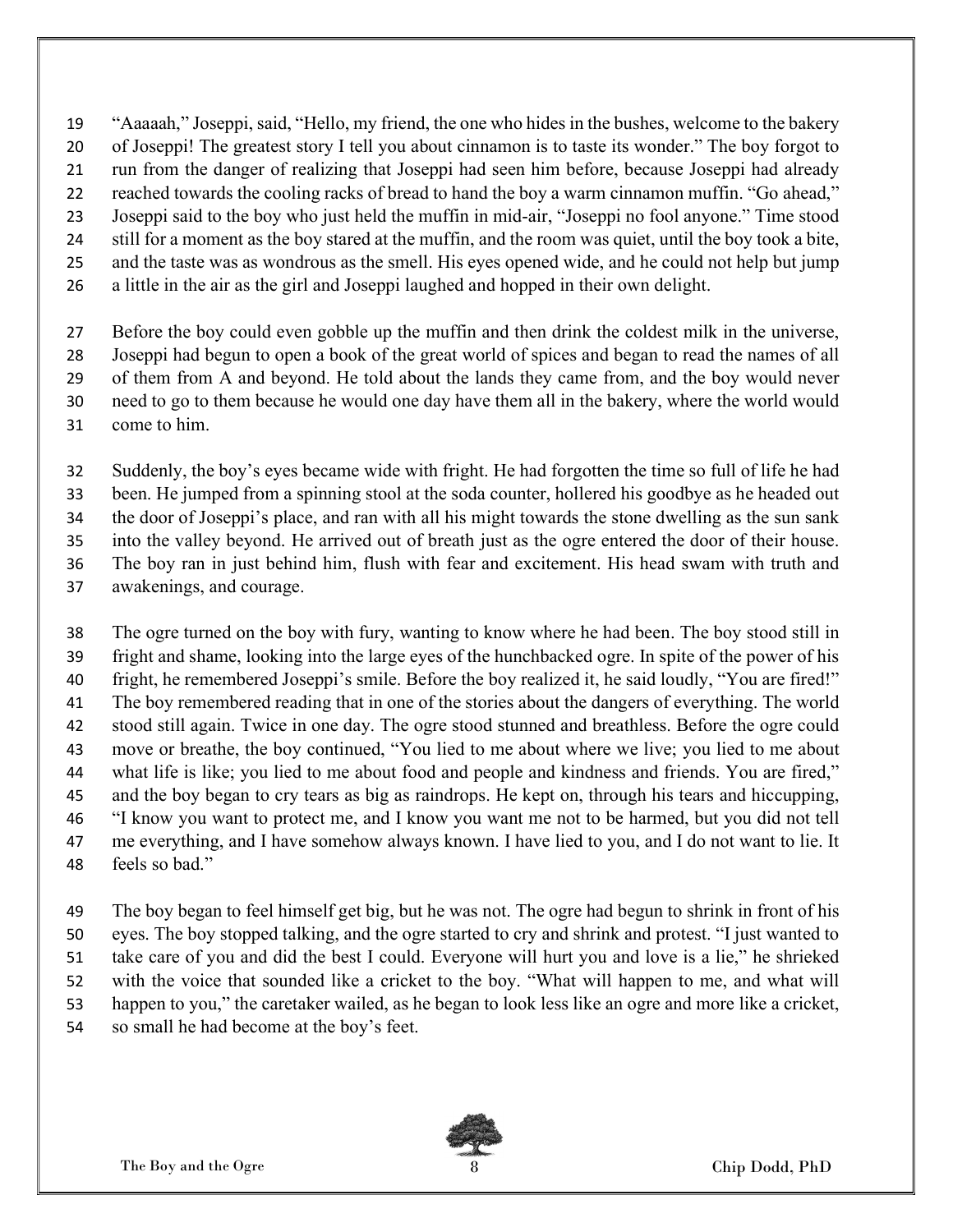"Aaaaah," Joseppi, said, "Hello, my friend, the one who hides in the bushes, welcome to the bakery

- of Joseppi! The greatest story I tell you about cinnamon is to taste its wonder." The boy forgot to
- run from the danger of realizing that Joseppi had seen him before, because Joseppi had already
- reached towards the cooling racks of bread to hand the boy a warm cinnamon muffin. "Go ahead,"
- Joseppi said to the boy who just held the muffin in mid-air, "Joseppi no fool anyone." Time stood
- still for a moment as the boy stared at the muffin, and the room was quiet, until the boy took a bite, and the taste was as wondrous as the smell. His eyes opened wide, and he could not help but jump
- a little in the air as the girl and Joseppi laughed and hopped in their own delight.
- Before the boy could even gobble up the muffin and then drink the coldest milk in the universe,
- Joseppi had begun to open a book of the great world of spices and began to read the names of all
- of them from A and beyond. He told about the lands they came from, and the boy would never
- need to go to them because he would one day have them all in the bakery, where the world would
- come to him.

Suddenly, the boy's eyes became wide with fright. He had forgotten the time so full of life he had

been. He jumped from a spinning stool at the soda counter, hollered his goodbye as he headed out

the door of Joseppi's place, and ran with all his might towards the stone dwelling as the sun sank

into the valley beyond. He arrived out of breath just as the ogre entered the door of their house.

- The boy ran in just behind him, flush with fear and excitement. His head swam with truth and
- awakenings, and courage.

The ogre turned on the boy with fury, wanting to know where he had been. The boy stood still in fright and shame, looking into the large eyes of the hunchbacked ogre. In spite of the power of his fright, he remembered Joseppi's smile. Before the boy realized it, he said loudly, "You are fired!" The boy remembered reading that in one of the stories about the dangers of everything. The world stood still again. Twice in one day. The ogre stood stunned and breathless. Before the ogre could move or breathe, the boy continued, "You lied to me about where we live; you lied to me about what life is like; you lied to me about food and people and kindness and friends. You are fired," and the boy began to cry tears as big as raindrops. He kept on, through his tears and hiccupping, "I know you want to protect me, and I know you want me not to be harmed, but you did not tell 47 me everything, and I have somehow always known. I have lied to you, and I do not want to lie. It

feels so bad."

The boy began to feel himself get big, but he was not. The ogre had begun to shrink in front of his eyes. The boy stopped talking, and the ogre started to cry and shrink and protest. "I just wanted to take care of you and did the best I could. Everyone will hurt you and love is a lie," he shrieked with the voice that sounded like a cricket to the boy. "What will happen to me, and what will happen to you," the caretaker wailed, as he began to look less like an ogre and more like a cricket, so small he had become at the boy's feet.